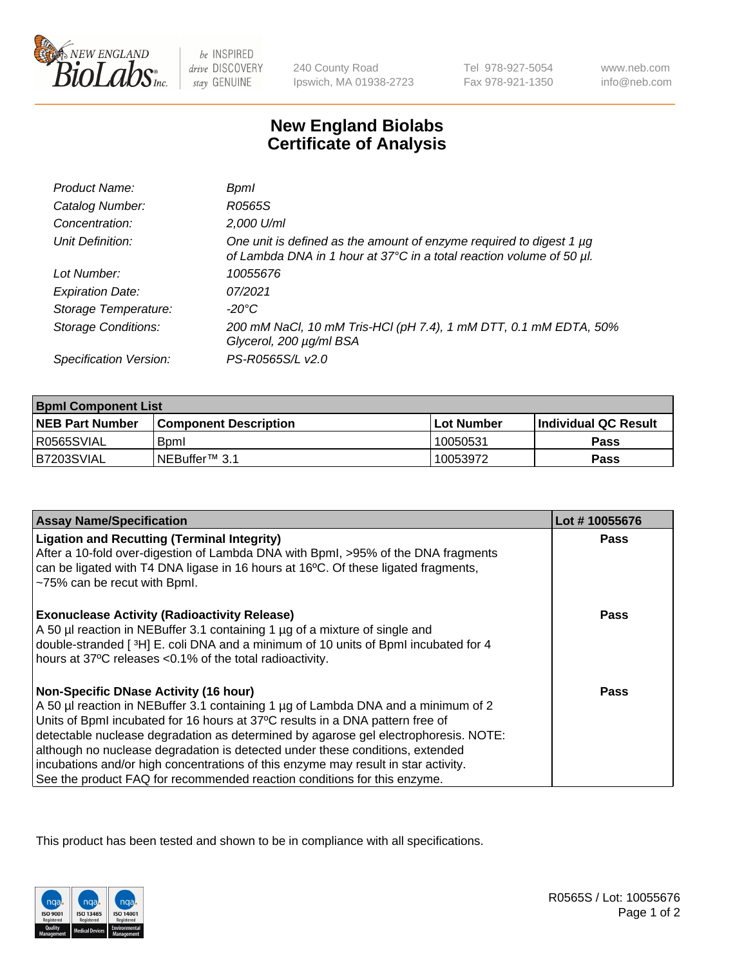

 $be$  INSPIRED drive DISCOVERY stay GENUINE

240 County Road Ipswich, MA 01938-2723 Tel 978-927-5054 Fax 978-921-1350

www.neb.com info@neb.com

## **New England Biolabs Certificate of Analysis**

| Product Name:              | Bpml                                                                                                                                             |
|----------------------------|--------------------------------------------------------------------------------------------------------------------------------------------------|
| Catalog Number:            | R0565S                                                                                                                                           |
| Concentration:             | 2,000 U/ml                                                                                                                                       |
| Unit Definition:           | One unit is defined as the amount of enzyme required to digest 1 $\mu$ g<br>of Lambda DNA in 1 hour at 37°C in a total reaction volume of 50 µl. |
| Lot Number:                | 10055676                                                                                                                                         |
| <b>Expiration Date:</b>    | 07/2021                                                                                                                                          |
| Storage Temperature:       | -20°C                                                                                                                                            |
| <b>Storage Conditions:</b> | 200 mM NaCl, 10 mM Tris-HCl (pH 7.4), 1 mM DTT, 0.1 mM EDTA, 50%<br>Glycerol, 200 µg/ml BSA                                                      |
| Specification Version:     | PS-R0565S/L v2.0                                                                                                                                 |

| <b>Bpml Component List</b> |                              |              |                             |  |
|----------------------------|------------------------------|--------------|-----------------------------|--|
| <b>NEB Part Number</b>     | <b>Component Description</b> | l Lot Number | <b>Individual QC Result</b> |  |
| R0565SVIAL                 | <b>B</b> <sub>pm</sub>       | 10050531     | Pass                        |  |
| B7203SVIAL                 | INEBuffer <sup>™</sup> 3.1   | 10053972     | Pass                        |  |

| <b>Assay Name/Specification</b>                                                                                                                                                                                                                                                                                                                                                                                                                                                                                                                              | Lot #10055676 |
|--------------------------------------------------------------------------------------------------------------------------------------------------------------------------------------------------------------------------------------------------------------------------------------------------------------------------------------------------------------------------------------------------------------------------------------------------------------------------------------------------------------------------------------------------------------|---------------|
| <b>Ligation and Recutting (Terminal Integrity)</b><br>After a 10-fold over-digestion of Lambda DNA with Bpml, >95% of the DNA fragments<br>can be ligated with T4 DNA ligase in 16 hours at 16°C. Of these ligated fragments,<br>~75% can be recut with Bpml.                                                                                                                                                                                                                                                                                                | <b>Pass</b>   |
| <b>Exonuclease Activity (Radioactivity Release)</b><br>A 50 µl reaction in NEBuffer 3.1 containing 1 µg of a mixture of single and<br>double-stranded [3H] E. coli DNA and a minimum of 10 units of BpmI incubated for 4<br>hours at 37°C releases <0.1% of the total radioactivity.                                                                                                                                                                                                                                                                         | Pass          |
| <b>Non-Specific DNase Activity (16 hour)</b><br>A 50 µl reaction in NEBuffer 3.1 containing 1 µg of Lambda DNA and a minimum of 2<br>Units of BpmI incubated for 16 hours at 37°C results in a DNA pattern free of<br>detectable nuclease degradation as determined by agarose gel electrophoresis. NOTE:<br>although no nuclease degradation is detected under these conditions, extended<br>incubations and/or high concentrations of this enzyme may result in star activity.<br>See the product FAQ for recommended reaction conditions for this enzyme. | Pass          |

This product has been tested and shown to be in compliance with all specifications.